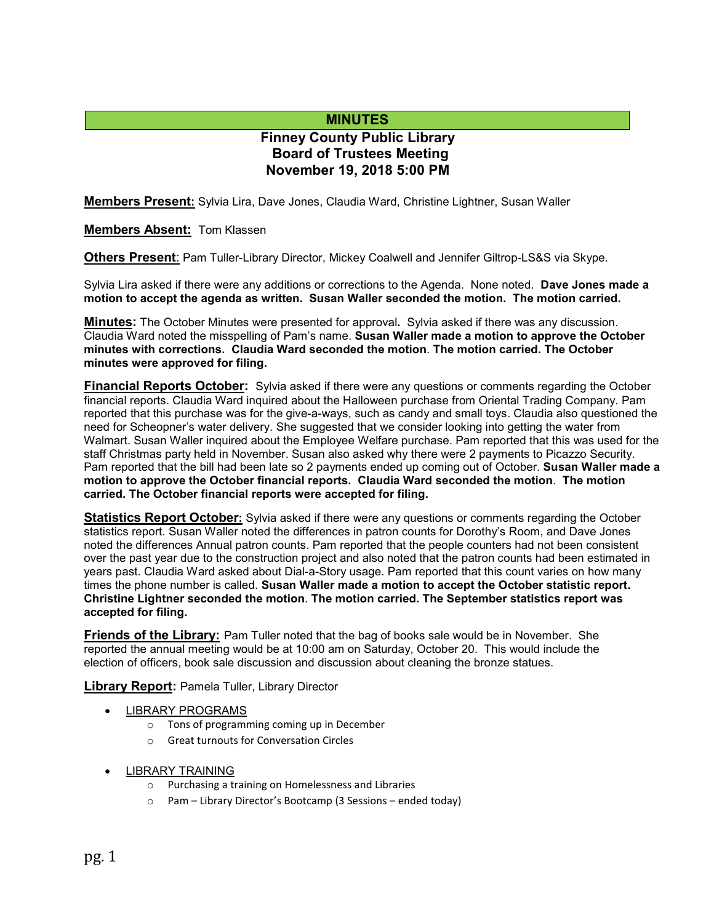## **MINUTES**

# **Finney County Public Library Board of Trustees Meeting November 19, 2018 5:00 PM**

**Members Present:** Sylvia Lira, Dave Jones, Claudia Ward, Christine Lightner, Susan Waller

**Members Absent:** Tom Klassen

**Others Present**: Pam Tuller-Library Director, Mickey Coalwell and Jennifer Giltrop-LS&S via Skype.

Sylvia Lira asked if there were any additions or corrections to the Agenda. None noted. **Dave Jones made a motion to accept the agenda as written. Susan Waller seconded the motion. The motion carried.**

**Minutes:** The October Minutes were presented for approval**.** Sylvia asked if there was any discussion. Claudia Ward noted the misspelling of Pam's name. **Susan Waller made a motion to approve the October minutes with corrections. Claudia Ward seconded the motion**. **The motion carried. The October minutes were approved for filing.** 

**Financial Reports October:** Sylvia asked if there were any questions or comments regarding the October financial reports. Claudia Ward inquired about the Halloween purchase from Oriental Trading Company. Pam reported that this purchase was for the give-a-ways, such as candy and small toys. Claudia also questioned the need for Scheopner's water delivery. She suggested that we consider looking into getting the water from Walmart. Susan Waller inquired about the Employee Welfare purchase. Pam reported that this was used for the staff Christmas party held in November. Susan also asked why there were 2 payments to Picazzo Security. Pam reported that the bill had been late so 2 payments ended up coming out of October. **Susan Waller made a motion to approve the October financial reports. Claudia Ward seconded the motion**. **The motion carried. The October financial reports were accepted for filing.**

**Statistics Report October:** Sylvia asked if there were any questions or comments regarding the October statistics report. Susan Waller noted the differences in patron counts for Dorothy's Room, and Dave Jones noted the differences Annual patron counts. Pam reported that the people counters had not been consistent over the past year due to the construction project and also noted that the patron counts had been estimated in years past. Claudia Ward asked about Dial-a-Story usage. Pam reported that this count varies on how many times the phone number is called. **Susan Waller made a motion to accept the October statistic report. Christine Lightner seconded the motion**. **The motion carried. The September statistics report was accepted for filing.**

**Friends of the Library:** Pam Tuller noted that the bag of books sale would be in November. She reported the annual meeting would be at 10:00 am on Saturday, October 20. This would include the election of officers, book sale discussion and discussion about cleaning the bronze statues.

**Library Report:** Pamela Tuller, Library Director

- LIBRARY PROGRAMS
	- o Tons of programming coming up in December
	- o Great turnouts for Conversation Circles
- LIBRARY TRAINING
	- o Purchasing a training on Homelessness and Libraries
	- o Pam Library Director's Bootcamp (3 Sessions ended today)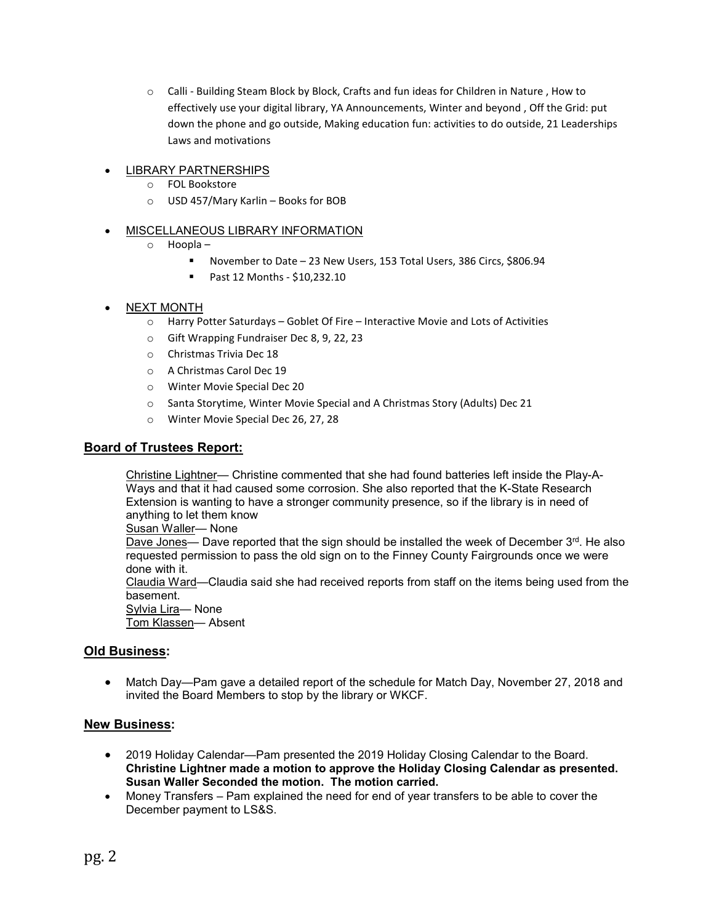$\circ$  Calli - Building Steam Block by Block, Crafts and fun ideas for Children in Nature, How to effectively use your digital library, YA Announcements, Winter and beyond , Off the Grid: put down the phone and go outside, Making education fun: activities to do outside, 21 Leaderships Laws and motivations

### • LIBRARY PARTNERSHIPS

- o FOL Bookstore
- o USD 457/Mary Karlin Books for BOB

### • MISCELLANEOUS LIBRARY INFORMATION

- o Hoopla
	- November to Date 23 New Users, 153 Total Users, 386 Circs, \$806.94
	- Past 12 Months \$10,232.10
- NEXT MONTH
	- o Harry Potter Saturdays Goblet Of Fire Interactive Movie and Lots of Activities
	- o Gift Wrapping Fundraiser Dec 8, 9, 22, 23
	- o Christmas Trivia Dec 18
	- o A Christmas Carol Dec 19
	- o Winter Movie Special Dec 20
	- o Santa Storytime, Winter Movie Special and A Christmas Story (Adults) Dec 21
	- o Winter Movie Special Dec 26, 27, 28

## **Board of Trustees Report:**

Christine Lightner— Christine commented that she had found batteries left inside the Play-A-Ways and that it had caused some corrosion. She also reported that the K-State Research Extension is wanting to have a stronger community presence, so if the library is in need of anything to let them know

Susan Waller— None

Dave Jones— Dave reported that the sign should be installed the week of December 3rd. He also requested permission to pass the old sign on to the Finney County Fairgrounds once we were done with it.

Claudia Ward—Claudia said she had received reports from staff on the items being used from the basement.

Sylvia Lira— None

Tom Klassen— Absent

### **Old Business:**

• Match Day—Pam gave a detailed report of the schedule for Match Day, November 27, 2018 and invited the Board Members to stop by the library or WKCF.

### **New Business:**

- 2019 Holiday Calendar—Pam presented the 2019 Holiday Closing Calendar to the Board. **Christine Lightner made a motion to approve the Holiday Closing Calendar as presented. Susan Waller Seconded the motion. The motion carried.**
- Money Transfers Pam explained the need for end of year transfers to be able to cover the December payment to LS&S.